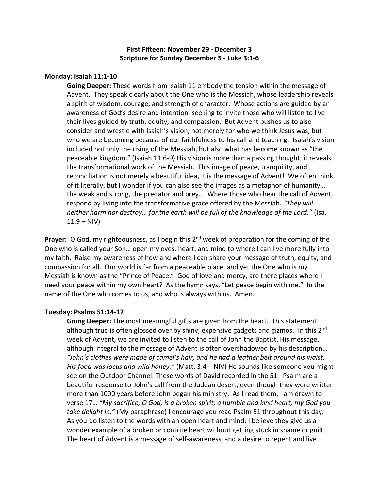# **First Fifteen: November 29 - December 3 Scripture for Sunday December 5 - Luke 3:1-6**

## **Monday: Isaiah 11:1-10**

**Going Deeper:** These words from Isaiah 11 embody the tension within the message of Advent. They speak clearly about the One who is the Messiah, whose leadership reveals a spirit of wisdom, courage, and strength of character. Whose actions are guided by an awareness of God's desire and intention, seeking to invite those who will listen to live their lives guided by truth, equity, and compassion. But Advent pushes us to also consider and wrestle with Isaiah's vision, not merely for who we think Jesus was, but who we are becoming because of our faithfulness to his call and teaching. Isaiah's vision included not only the rising of the Messiah, but also what has become known as "the peaceable kingdom." (Isaiah 11:6-9) His vision is more than a passing thought; it reveals the transformational work of the Messiah. This image of peace, tranquility, and reconciliation is not merely a beautiful idea, it is the message of Advent! We often think of it literally, but I wonder if you can also see the images as a metaphor of humanity… the weak and strong, the predator and prey… Where those who hear the call of Advent, respond by living into the transformative grace offered by the Messiah. *"They will neither harm nor destroy… for the earth will be full of the knowledge of the Lord."* (Isa.  $11:9 - NIV$ 

Prayer: O God, my righteousness, as I begin this 2<sup>nd</sup> week of preparation for the coming of the One who is called your Son… open my eyes, heart, and mind to where I can live more fully into my faith. Raise my awareness of how and where I can share your message of truth, equity, and compassion for all. Our world is far from a peaceable place, and yet the One who is my Messiah is known as the "Prince of Peace." God of love and mercy, are there places where I need your peace within my own heart? As the hymn says, "Let peace begin with me." In the name of the One who comes to us, and who is always with us. Amen.

### **Tuesday: Psalms 51:14-17**

**Going Deeper:** The most meaningful gifts are given from the heart. This statement although true is often glossed over by shiny, expensive gadgets and gizmos. In this 2<sup>nd</sup> week of Advent, we are invited to listen to the call of John the Baptist. His message, although integral to the message of Advent is often overshadowed by his description… *"John's clothes were made of camel's hair, and he had a leather belt around his waist. His food was locus and wild honey."* (Matt. 3:4 – NIV) He sounds like someone you might see on the Outdoor Channel. These words of David recorded in the 51<sup>st</sup> Psalm are a beautiful response to John's call from the Judean desert, even though they were written more than 1000 years before John began his ministry. As I read them, I am drawn to verse 17… *"My sacrifice, O God, is a broken spirit; a humble and kind heart, my God you take delight in."* (My paraphrase) I encourage you read Psalm 51 throughout this day. As you do listen to the words with an open heart and mind; I believe they give us a wonder example of a broken or contrite heart without getting stuck in shame or guilt. The heart of Advent is a message of self-awareness, and a desire to repent and live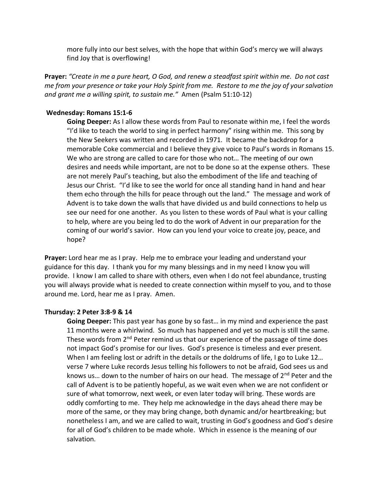more fully into our best selves, with the hope that within God's mercy we will always find Joy that is overflowing!

**Prayer:** *"Create in me a pure heart, O God, and renew a steadfast spirit within me. Do not cast me from your presence or take your Holy Spirit from me. Restore to me the joy of your salvation and grant me a willing spirit, to sustain me."* Amen (Psalm 51:10-12)

### **Wednesday: Romans 15:1-6**

**Going Deeper:** As I allow these words from Paul to resonate within me, I feel the words "I'd like to teach the world to sing in perfect harmony" rising within me. This song by the New Seekers was written and recorded in 1971. It became the backdrop for a memorable Coke commercial and I believe they give voice to Paul's words in Romans 15. We who are strong are called to care for those who not… The meeting of our own desires and needs while important, are not to be done so at the expense others. These are not merely Paul's teaching, but also the embodiment of the life and teaching of Jesus our Christ. "I'd like to see the world for once all standing hand in hand and hear them echo through the hills for peace through out the land." The message and work of Advent is to take down the walls that have divided us and build connections to help us see our need for one another. As you listen to these words of Paul what is your calling to help, where are you being led to do the work of Advent in our preparation for the coming of our world's savior. How can you lend your voice to create joy, peace, and hope?

**Prayer:** Lord hear me as I pray. Help me to embrace your leading and understand your guidance for this day. I thank you for my many blessings and in my need I know you will provide. I know I am called to share with others, even when I do not feel abundance, trusting you will always provide what is needed to create connection within myself to you, and to those around me. Lord, hear me as I pray. Amen.

### **Thursday: 2 Peter 3:8-9 & 14**

**Going Deeper:** This past year has gone by so fast… in my mind and experience the past 11 months were a whirlwind. So much has happened and yet so much is still the same. These words from 2<sup>nd</sup> Peter remind us that our experience of the passage of time does not impact God's promise for our lives. God's presence is timeless and ever present. When I am feeling lost or adrift in the details or the doldrums of life, I go to Luke 12... verse 7 where Luke records Jesus telling his followers to not be afraid, God sees us and knows us... down to the number of hairs on our head. The message of 2<sup>nd</sup> Peter and the call of Advent is to be patiently hopeful, as we wait even when we are not confident or sure of what tomorrow, next week, or even later today will bring. These words are oddly comforting to me. They help me acknowledge in the days ahead there may be more of the same, or they may bring change, both dynamic and/or heartbreaking; but nonetheless I am, and we are called to wait, trusting in God's goodness and God's desire for all of God's children to be made whole. Which in essence is the meaning of our salvation.